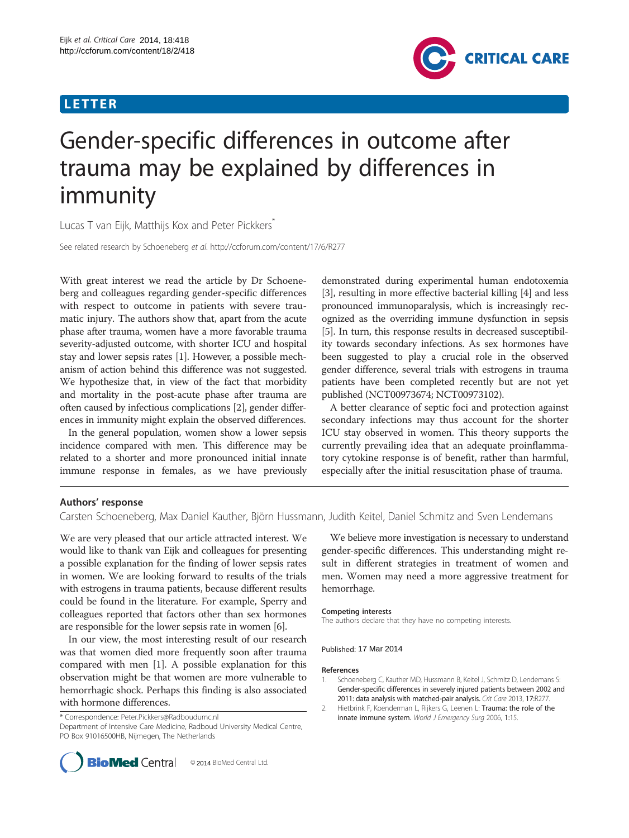## LETTER



# Gender-specific differences in outcome after trauma may be explained by differences in immunity

Lucas T van Eijk, Matthijs Kox and Peter Pickkers<sup>7</sup>

See related research by Schoeneberg et al. http://ccforum.com/content/17/6/R277

With great interest we read the article by Dr Schoeneberg and colleagues regarding gender-specific differences with respect to outcome in patients with severe traumatic injury. The authors show that, apart from the acute phase after trauma, women have a more favorable trauma severity-adjusted outcome, with shorter ICU and hospital stay and lower sepsis rates [1]. However, a possible mechanism of action behind this difference was not suggested. We hypothesize that, in view of the fact that morbidity and mortality in the post-acute phase after trauma are often caused by infectious complications [2], gender differences in immunity might explain the observed differences.

In the general population, women show a lower sepsis incidence compared with men. This difference may be related to a shorter and more pronounced initial innate immune response in females, as we have previously

demonstrated during experimental human endotoxemia [[3\]](#page-1-0), resulting in more effective bacterial killing [[4\]](#page-1-0) and less pronounced immunoparalysis, which is increasingly recognized as the overriding immune dysfunction in sepsis [[5\]](#page-1-0). In turn, this response results in decreased susceptibility towards secondary infections. As sex hormones have been suggested to play a crucial role in the observed gender difference, several trials with estrogens in trauma patients have been completed recently but are not yet published (NCT00973674; NCT00973102).

A better clearance of septic foci and protection against secondary infections may thus account for the shorter ICU stay observed in women. This theory supports the currently prevailing idea that an adequate proinflammatory cytokine response is of benefit, rather than harmful, especially after the initial resuscitation phase of trauma.

## Authors' response

Carsten Schoeneberg, Max Daniel Kauther, Björn Hussmann, Judith Keitel, Daniel Schmitz and Sven Lendemans

We are very pleased that our article attracted interest. We would like to thank van Eijk and colleagues for presenting a possible explanation for the finding of lower sepsis rates in women. We are looking forward to results of the trials with estrogens in trauma patients, because different results could be found in the literature. For example, Sperry and colleagues reported that factors other than sex hormones are responsible for the lower sepsis rate in women [\[6\]](#page-1-0).

In our view, the most interesting result of our research was that women died more frequently soon after trauma compared with men [1]. A possible explanation for this observation might be that women are more vulnerable to hemorrhagic shock. Perhaps this finding is also associated with hormone differences.

\* Correspondence: [Peter.Pickkers@Radboudumc.nl](mailto:Peter.Pickkers@Radboudumc.nl)

Department of Intensive Care Medicine, Radboud University Medical Centre, PO Box 91016500HB, Nijmegen, The Netherlands



We believe more investigation is necessary to understand gender-specific differences. This understanding might result in different strategies in treatment of women and men. Women may need a more aggressive treatment for hemorrhage.

The authors declare that they have no competing interests.

### Published: 17 Mar 2014

- 1. Schoeneberg C, Kauther MD, Hussmann B, Keitel J, Schmitz D, Lendemans S Gender-specific differences in severely injured patients between 2002 and 2011: data analysis with matched-pair analysis. Crit Care 2013, 17:R277.
- 2. Hietbrink F, Koenderman L, Rijkers G, Leenen L: Trauma: the role of the innate immune system. World J Emergency Surg 2006, 1:15.